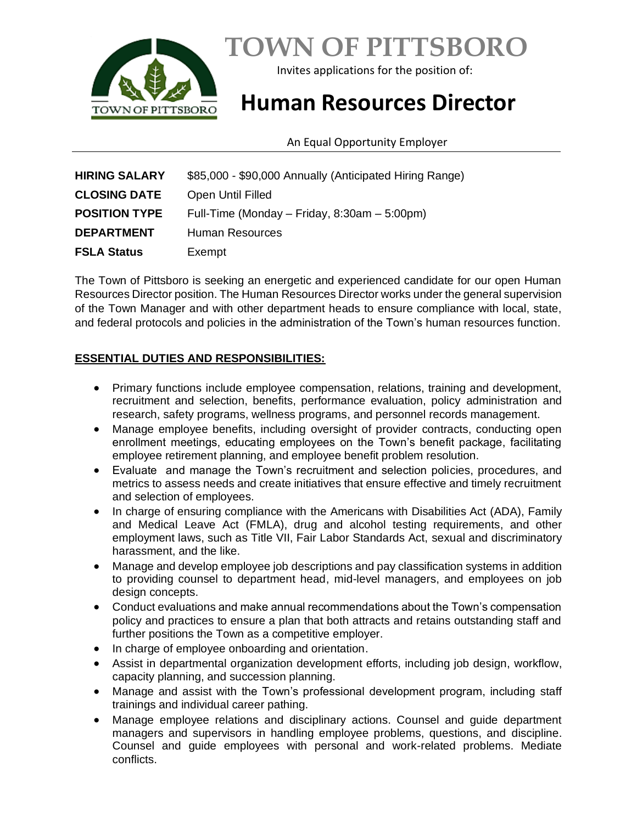

# **TOWN OF PITTSBORO**

Invites applications for the position of:

## **Human Resources Director**

An Equal Opportunity Employer

| <b>HIRING SALARY</b> | \$85,000 - \$90,000 Annually (Anticipated Hiring Range) |
|----------------------|---------------------------------------------------------|
| <b>CLOSING DATE</b>  | <b>Open Until Filled</b>                                |
| <b>POSITION TYPE</b> | Full-Time (Monday – Friday, 8:30am – 5:00pm)            |
| <b>DEPARTMENT</b>    | Human Resources                                         |
| <b>FSLA Status</b>   | Exempt                                                  |

The Town of Pittsboro is seeking an energetic and experienced candidate for our open Human Resources Director position. The Human Resources Director works under the general supervision of the Town Manager and with other department heads to ensure compliance with local, state, and federal protocols and policies in the administration of the Town's human resources function.

#### **ESSENTIAL DUTIES AND RESPONSIBILITIES:**

- Primary functions include employee compensation, relations, training and development, recruitment and selection, benefits, performance evaluation, policy administration and research, safety programs, wellness programs, and personnel records management.
- Manage employee benefits, including oversight of provider contracts, conducting open enrollment meetings, educating employees on the Town's benefit package, facilitating employee retirement planning, and employee benefit problem resolution.
- Evaluate and manage the Town's recruitment and selection policies, procedures, and metrics to assess needs and create initiatives that ensure effective and timely recruitment and selection of employees.
- In charge of ensuring compliance with the Americans with Disabilities Act (ADA), Family and Medical Leave Act (FMLA), drug and alcohol testing requirements, and other employment laws, such as Title VII, Fair Labor Standards Act, sexual and discriminatory harassment, and the like.
- Manage and develop employee job descriptions and pay classification systems in addition to providing counsel to department head, mid-level managers, and employees on job design concepts.
- Conduct evaluations and make annual recommendations about the Town's compensation policy and practices to ensure a plan that both attracts and retains outstanding staff and further positions the Town as a competitive employer.
- In charge of employee onboarding and orientation.
- Assist in departmental organization development efforts, including job design, workflow, capacity planning, and succession planning.
- Manage and assist with the Town's professional development program, including staff trainings and individual career pathing.
- Manage employee relations and disciplinary actions. Counsel and guide department managers and supervisors in handling employee problems, questions, and discipline. Counsel and guide employees with personal and work-related problems. Mediate conflicts.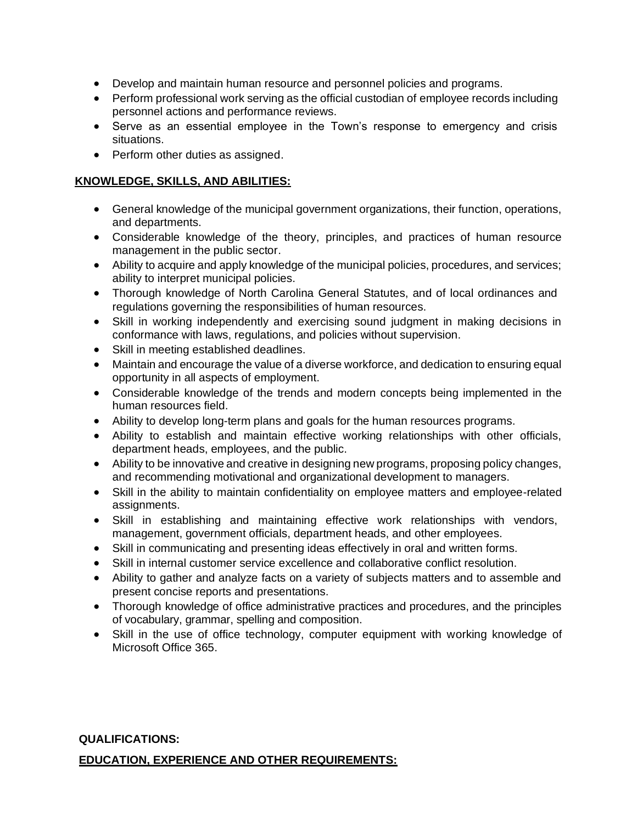- Develop and maintain human resource and personnel policies and programs.
- Perform professional work serving as the official custodian of employee records including personnel actions and performance reviews.
- Serve as an essential employee in the Town's response to emergency and crisis situations.
- Perform other duties as assigned.

#### **KNOWLEDGE, SKILLS, AND ABILITIES:**

- General knowledge of the municipal government organizations, their function, operations, and departments.
- Considerable knowledge of the theory, principles, and practices of human resource management in the public sector.
- Ability to acquire and apply knowledge of the municipal policies, procedures, and services; ability to interpret municipal policies.
- Thorough knowledge of North Carolina General Statutes, and of local ordinances and regulations governing the responsibilities of human resources.
- Skill in working independently and exercising sound judgment in making decisions in conformance with laws, regulations, and policies without supervision.
- Skill in meeting established deadlines.
- Maintain and encourage the value of a diverse workforce, and dedication to ensuring equal opportunity in all aspects of employment.
- Considerable knowledge of the trends and modern concepts being implemented in the human resources field.
- Ability to develop long-term plans and goals for the human resources programs.
- Ability to establish and maintain effective working relationships with other officials, department heads, employees, and the public.
- Ability to be innovative and creative in designing new programs, proposing policy changes, and recommending motivational and organizational development to managers.
- Skill in the ability to maintain confidentiality on employee matters and employee-related assignments.
- Skill in establishing and maintaining effective work relationships with vendors, management, government officials, department heads, and other employees.
- Skill in communicating and presenting ideas effectively in oral and written forms.
- Skill in internal customer service excellence and collaborative conflict resolution.
- Ability to gather and analyze facts on a variety of subjects matters and to assemble and present concise reports and presentations.
- Thorough knowledge of office administrative practices and procedures, and the principles of vocabulary, grammar, spelling and composition.
- Skill in the use of office technology, computer equipment with working knowledge of Microsoft Office 365.

### **QUALIFICATIONS: EDUCATION, EXPERIENCE AND OTHER REQUIREMENTS:**